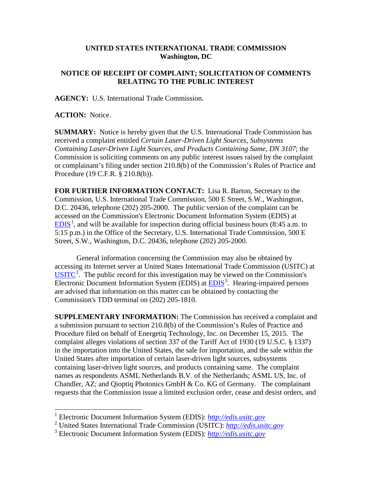## **UNITED STATES INTERNATIONAL TRADE COMMISSION Washington, DC**

## **NOTICE OF RECEIPT OF COMPLAINT; SOLICITATION OF COMMENTS RELATING TO THE PUBLIC INTEREST**

**AGENCY:** U.S. International Trade Commission.

**ACTION:** Notice.

**SUMMARY:** Notice is hereby given that the U.S. International Trade Commission has received a complaint entitled *Certain Laser-Driven Light Sources, Subsystems Containing Laser-Driven Light Sources, and Products Containing Same, DN 3107*; the Commission is soliciting comments on any public interest issues raised by the complaint or complainant's filing under section 210.8(b) of the Commission's Rules of Practice and Procedure (19 C.F.R. § 210.8(b)).

**FOR FURTHER INFORMATION CONTACT:** Lisa R. Barton, Secretary to the Commission, U.S. International Trade Commission, 500 E Street, S.W., Washington, D.C. 20436, telephone (202) 205-2000. The public version of the complaint can be accessed on the Commission's Electronic Document Information System (EDIS) at  $EDIS<sup>1</sup>$  $EDIS<sup>1</sup>$  $EDIS<sup>1</sup>$  $EDIS<sup>1</sup>$ , and will be available for inspection during official business hours (8:45 a.m. to 5:15 p.m.) in the Office of the Secretary, U.S. International Trade Commission, 500 E Street, S.W., Washington, D.C. 20436, telephone (202) 205-2000.

General information concerning the Commission may also be obtained by accessing its Internet server at United States International Trade Commission (USITC) at  $\overline{USTTC}^2$  $\overline{USTTC}^2$ . The public record for this investigation may be viewed on the Commission's Electronic Document Information System (EDIS) at **EDIS**<sup>[3](#page-0-2)</sup>. Hearing-impaired persons are advised that information on this matter can be obtained by contacting the Commission's TDD terminal on (202) 205-1810.

**SUPPLEMENTARY INFORMATION:** The Commission has received a complaint and a submission pursuant to section 210.8(b) of the Commission's Rules of Practice and Procedure filed on behalf of Energetiq Technology, Inc. on December 15, 2015. The complaint alleges violations of section 337 of the Tariff Act of 1930 (19 U.S.C. § 1337) in the importation into the United States, the sale for importation, and the sale within the United States after importation of certain laser-driven light sources, subsystems containing laser-driven light sources, and products containing same. The complaint names as respondents ASML Netherlands B.V. of the Netherlands; ASML US, Inc. of Chandler, AZ; and Qioptiq Photonics GmbH & Co. KG of Germany. The complainant requests that the Commission issue a limited exclusion order, cease and desist orders, and

<span id="page-0-0"></span> <sup>1</sup> Electronic Document Information System (EDIS): *[http://edis.usitc.gov](http://edis.usitc.gov/)*

<span id="page-0-1"></span><sup>2</sup> United States International Trade Commission (USITC): *[http://edis.usitc.gov](http://edis.usitc.gov/)*

<span id="page-0-2"></span><sup>3</sup> Electronic Document Information System (EDIS): *[http://edis.usitc.gov](http://edis.usitc.gov/)*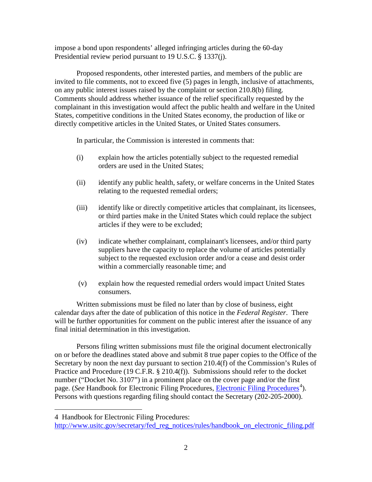impose a bond upon respondents' alleged infringing articles during the 60-day Presidential review period pursuant to 19 U.S.C. § 1337(j).

Proposed respondents, other interested parties, and members of the public are invited to file comments, not to exceed five (5) pages in length, inclusive of attachments, on any public interest issues raised by the complaint or section 210.8(b) filing. Comments should address whether issuance of the relief specifically requested by the complainant in this investigation would affect the public health and welfare in the United States, competitive conditions in the United States economy, the production of like or directly competitive articles in the United States, or United States consumers.

In particular, the Commission is interested in comments that:

- (i) explain how the articles potentially subject to the requested remedial orders are used in the United States;
- (ii) identify any public health, safety, or welfare concerns in the United States relating to the requested remedial orders;
- (iii) identify like or directly competitive articles that complainant, its licensees, or third parties make in the United States which could replace the subject articles if they were to be excluded;
- (iv) indicate whether complainant, complainant's licensees, and/or third party suppliers have the capacity to replace the volume of articles potentially subject to the requested exclusion order and/or a cease and desist order within a commercially reasonable time; and
- (v) explain how the requested remedial orders would impact United States consumers.

Written submissions must be filed no later than by close of business, eight calendar days after the date of publication of this notice in the *Federal Register*. There will be further opportunities for comment on the public interest after the issuance of any final initial determination in this investigation.

Persons filing written submissions must file the original document electronically on or before the deadlines stated above and submit 8 true paper copies to the Office of the Secretary by noon the next day pursuant to section 210.4(f) of the Commission's Rules of Practice and Procedure (19 C.F.R. § 210.4(f)). Submissions should refer to the docket number ("Docket No. 3107") in a prominent place on the cover page and/or the first page. (*See* Handbook for [Electronic Filing Procedures](http://www.usitc.gov/secretary/fed_reg_notices/rules/handbook_on_electronic_filing.pdf), *Electronic Filing Procedures*<sup>[4](#page-1-0)</sup>). Persons with questions regarding filing should contact the Secretary (202-205-2000).

 $\overline{a}$ 

<span id="page-1-0"></span><sup>4</sup> Handbook for Electronic Filing Procedures:

[http://www.usitc.gov/secretary/fed\\_reg\\_notices/rules/handbook\\_on\\_electronic\\_filing.pdf](http://www.usitc.gov/secretary/fed_reg_notices/rules/handbook_on_electronic_filing.pdf)